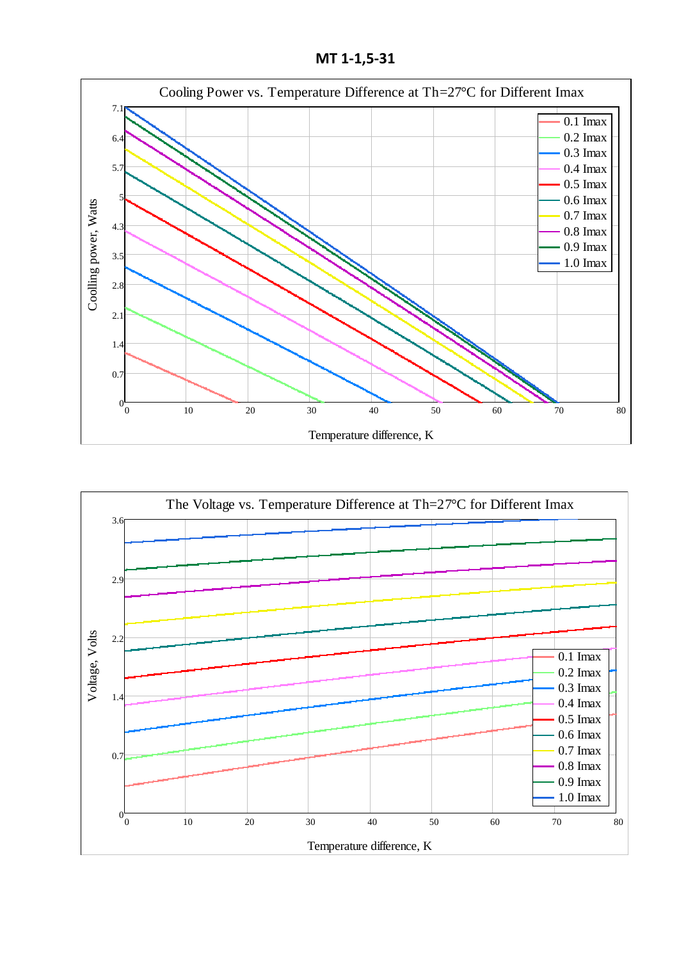**МТ 1-1,5-31**